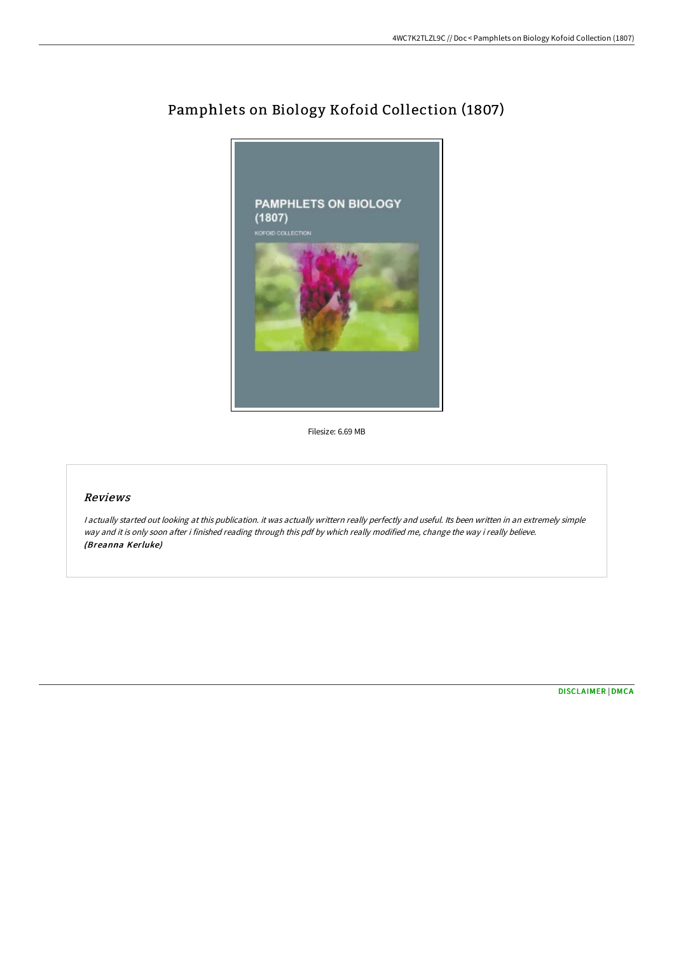

## Pamphlets on Biology Kofoid Collection (1807)

Filesize: 6.69 MB

## Reviews

<sup>I</sup> actually started out looking at this publication. it was actually writtern really perfectly and useful. Its been written in an extremely simple way and it is only soon after i finished reading through this pdf by which really modified me, change the way i really believe. (Breanna Kerluke)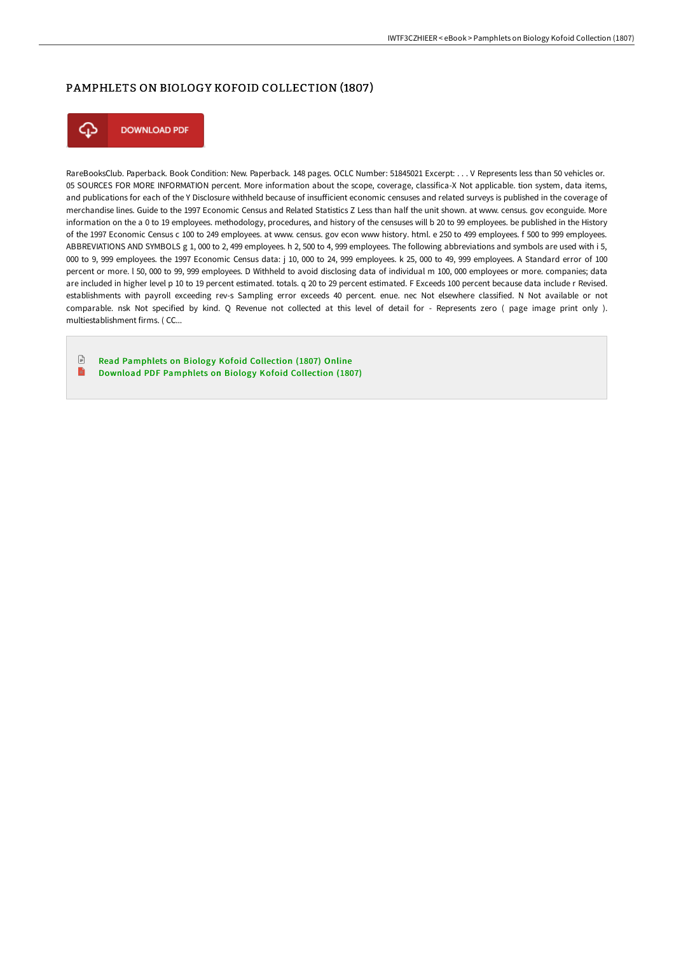## PAMPHLETS ON BIOLOGY KOFOID COLLECTION (1807)



**DOWNLOAD PDF** 

RareBooksClub. Paperback. Book Condition: New. Paperback. 148 pages. OCLC Number: 51845021 Excerpt: . . . V Represents less than 50 vehicles or. 05 SOURCES FOR MORE INFORMATION percent. More information about the scope, coverage, classifica-X Not applicable. tion system, data items, and publications for each of the Y Disclosure withheld because of insufficient economic censuses and related surveys is published in the coverage of merchandise lines. Guide to the 1997 Economic Census and Related Statistics Z Less than half the unit shown. at www. census. gov econguide. More information on the a 0 to 19 employees. methodology, procedures, and history of the censuses will b 20 to 99 employees. be published in the History of the 1997 Economic Census c 100 to 249 employees. at www. census. gov econ www history. html. e 250 to 499 employees. f 500 to 999 employees. ABBREVIATIONS AND SYMBOLS g 1, 000 to 2, 499 employees. h 2, 500 to 4, 999 employees. The following abbreviations and symbols are used with i 5, 000 to 9, 999 employees. the 1997 Economic Census data: j 10, 000 to 24, 999 employees. k 25, 000 to 49, 999 employees. A Standard error of 100 percent or more. l 50, 000 to 99, 999 employees. D Withheld to avoid disclosing data of individual m 100, 000 employees or more. companies; data are included in higher level p 10 to 19 percent estimated. totals. q 20 to 29 percent estimated. F Exceeds 100 percent because data include r Revised. establishments with payroll exceeding rev-s Sampling error exceeds 40 percent. enue. nec Not elsewhere classified. N Not available or not comparable. nsk Not specified by kind. Q Revenue not collected at this level of detail for - Represents zero ( page image print only ). multiestablishment firms. ( CC...

 $\Box$ Read [Pamphlets](http://techno-pub.tech/pamphlets-on-biology-kofoid-collection-1807.html) on Biology Kofoid Collection (1807) Online B Download PDF [Pamphlets](http://techno-pub.tech/pamphlets-on-biology-kofoid-collection-1807.html) on Biology Kofoid Collection (1807)